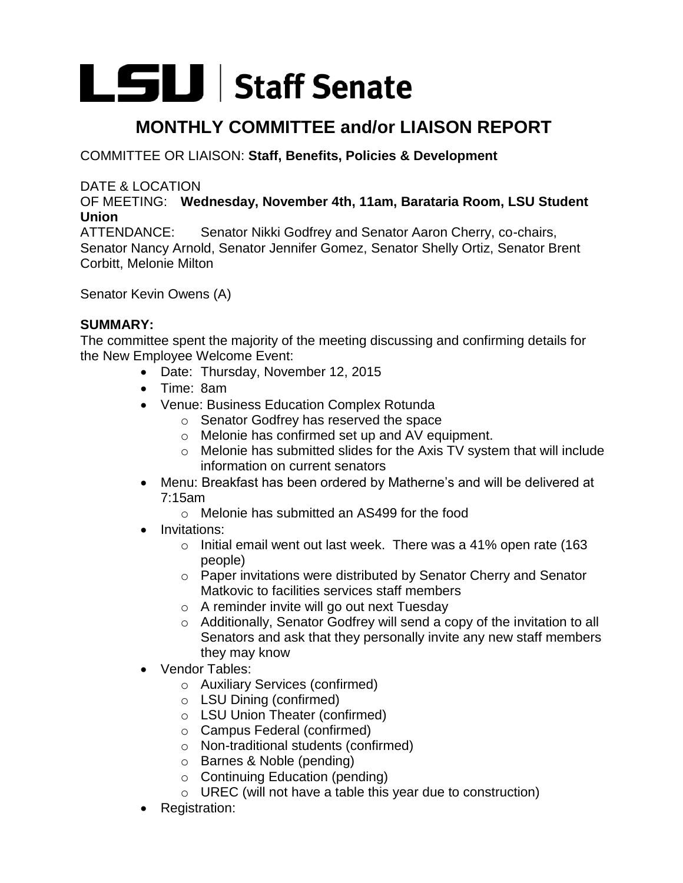# LSLI Staff Senate

## **MONTHLY COMMITTEE and/or LIAISON REPORT**

### COMMITTEE OR LIAISON: **Staff, Benefits, Policies & Development**

#### DATE & LOCATION

OF MEETING: **Wednesday, November 4th, 11am, Barataria Room, LSU Student Union** 

ATTENDANCE: Senator Nikki Godfrey and Senator Aaron Cherry, co-chairs, Senator Nancy Arnold, Senator Jennifer Gomez, Senator Shelly Ortiz, Senator Brent Corbitt, Melonie Milton

Senator Kevin Owens (A)

#### **SUMMARY:**

The committee spent the majority of the meeting discussing and confirming details for the New Employee Welcome Event:

- Date: Thursday, November 12, 2015
- Time: 8am
- Venue: Business Education Complex Rotunda
	- o Senator Godfrey has reserved the space
	- o Melonie has confirmed set up and AV equipment.
	- o Melonie has submitted slides for the Axis TV system that will include information on current senators
- Menu: Breakfast has been ordered by Matherne's and will be delivered at 7:15am
	- o Melonie has submitted an AS499 for the food
- Invitations:
	- o Initial email went out last week. There was a 41% open rate (163 people)
	- o Paper invitations were distributed by Senator Cherry and Senator Matkovic to facilities services staff members
	- o A reminder invite will go out next Tuesday
	- o Additionally, Senator Godfrey will send a copy of the invitation to all Senators and ask that they personally invite any new staff members they may know
- Vendor Tables:
	- o Auxiliary Services (confirmed)
	- o LSU Dining (confirmed)
	- o LSU Union Theater (confirmed)
	- o Campus Federal (confirmed)
	- o Non-traditional students (confirmed)
	- o Barnes & Noble (pending)
	- o Continuing Education (pending)
	- o UREC (will not have a table this year due to construction)
- Registration: